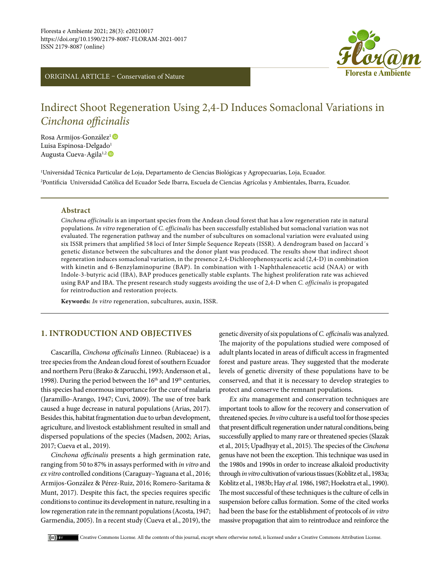ORIGINAL ARTICLE – Conservation of Nature



# Indirect Shoot Regeneration Using 2,4-D Induces Somaclonal Variations in *Cinchona officinalis*

RosaArmijos-González<sup>1</sup> Luisa Espin[o](https://orcid.org/0000-0001-5293-6095)sa-Delgado<sup>1</sup> Augusta Cueva-Agila<sup>1,2</sup>

1 Universidad Técnica Particular de Loja, Departamento de Ciencias Biológicas y Agropecuarias, Loja, Ecuador. 2 Pontificia Universidad Católica del Ecuador Sede Ibarra, Escuela de Ciencias Agrícolas y Ambientales, Ibarra, Ecuador.

### **Abstract**

*Cinchona officinalis* is an important species from the Andean cloud forest that has a low regeneration rate in natural populations. *In vitro* regeneration of *C. officinalis* has been successfully established but somaclonal variation was not evaluated. The regeneration pathway and the number of subcultures on somaclonal variation were evaluated using six ISSR primers that amplified 58 loci of Inter Simple Sequence Repeats (ISSR). A dendrogram based on Jaccard´s genetic distance between the subcultures and the donor plant was produced. The results show that indirect shoot regeneration induces somaclonal variation, in the presence 2,4-Dichlorophenoxyacetic acid (2,4-D) in combination with kinetin and 6-Benzylaminopurine (BAP). In combination with 1-Naphthaleneacetic acid (NAA) or with Indole-3-butyric acid (IBA), BAP produces genetically stable explants. The highest proliferation rate was achieved using BAP and IBA. The present research study suggests avoiding the use of 2,4-D when *C. officinalis* is propagated for reintroduction and restoration projects.

**Keywords:** *In vitro* regeneration, subcultures, auxin, ISSR.

# **1. INTRODUCTION AND OBJECTIVES**

Cascarilla, *Cinchona officinalis* Linneo. (Rubiaceae) is a tree species from the Andean cloud forest of southern Ecuador and northern Peru (Brako & Zarucchi, 1993; Andersson et al., 1998). During the period between the  $16<sup>th</sup>$  and  $19<sup>th</sup>$  centuries, this species had enormous importance for the cure of malaria (Jaramillo-Arango, 1947; Cuvi, 2009). The use of tree bark caused a huge decrease in natural populations (Arias, 2017). Besides this, habitat fragmentation due to urban development, agriculture, and livestock establishment resulted in small and dispersed populations of the species (Madsen, 2002; Arias, 2017; Cueva et al., 2019).

*Cinchona officinalis* presents a high germination rate, ranging from 50 to 87% in assays performed with *in vitro* and *ex vitro* controlled conditions (Caraguay–Yaguana et al., 2016; Armijos-González & Pérez-Ruiz, 2016; Romero-Saritama & Munt, 2017). Despite this fact, the species requires specific conditions to continue its development in nature, resulting in a low regeneration rate in the remnant populations (Acosta, 1947; Garmendia, 2005). In a recent study (Cueva et al., 2019), the genetic diversity of six populations of *C. officinalis* was analyzed. The majority of the populations studied were composed of adult plants located in areas of difficult access in fragmented forest and pasture areas. They suggested that the moderate levels of genetic diversity of these populations have to be conserved, and that it is necessary to develop strategies to protect and conserve the remnant populations.

*Ex situ* management and conservation techniques are important tools to allow for the recovery and conservation of threatened species. *Invitro* culture is a useful tool for those species that present difficult regeneration under natural conditions, being successfully applied to many rare or threatened species (Slazak et al*.,* 2015; Upadhyay et al., 2015). The species of the *Cinchona* genus have not been the exception. This technique was used in the 1980s and 1990s in order to increase alkaloid productivity through *invitro* cultivation of various tissues (Koblitz et al., 1983a; Koblitz et al*.,* 1983b; Hay *et al.* 1986, 1987; Hoekstra et al., 1990). The most successful of these techniques is the culture of cells in suspension before callus formation. Some of the cited works had been the base for the establishment of protocols of *in vitro* massive propagation that aim to reintroduce and reinforce the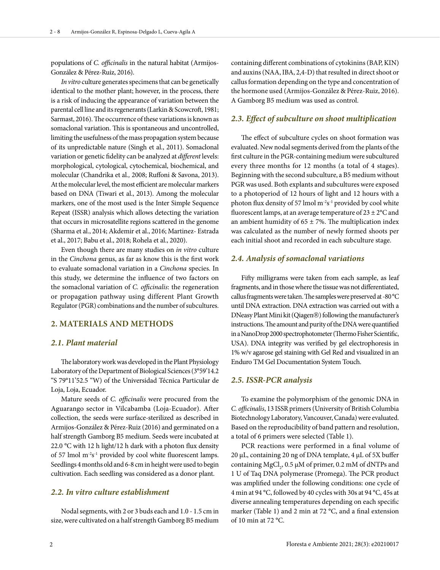populations of *C. officinalis* in the natural habitat (Armijos-González & Pérez-Ruiz, 2016).

*In vitro* culture generates specimens that can be genetically identical to the mother plant; however, in the process, there is a risk of inducing the appearance of variation between the parental cell line and its regenerants (Larkin & Scowcroft, 1981; Sarmast, 2016). The occurrence of these variations is known as somaclonal variation. This is spontaneous and uncontrolled, limiting the usefulness of the mass propagation system because of its unpredictable nature (Singh et al., 2011). Somaclonal variation or genetic fidelity can be analyzed at *different* levels: morphological, cytological, cytochemical, biochemical, and molecular (Chandrika et al*.,* 2008; Ruffoni & Savona, 2013). At the molecular level, the most efficient are molecular markers based on DNA (Tiwari et al., 2013). Among the molecular markers, one of the most used is the Inter Simple Sequence Repeat (ISSR) analysis which allows detecting the variation that occurs in microsatellite regions scattered in the genome (Sharma et al., 2014; Akdemir et al., 2016; Martinez- Estrada et al., 2017; Babu et al., 2018; Rohela et al., 2020).

Even though there are many studies on *in vitro* culture in the *Cinchona* genus, as far as know this is the first work to evaluate somaclonal variation in a *Cinchona* species. In this study, we determine the influence of two factors on the somaclonal variation of *C. officinalis*: the regeneration or propagation pathway using different Plant Growth Regulator (PGR) combinations and the number of subcultures.

# **2. MATERIALS AND METHODS**

# *2.1. Plant material*

The laboratory work was developed in the Plant Physiology Laboratory of the Department of Biological Sciences (3°59'14.2 "S 79°11'52.5 "W) of the Universidad Técnica Particular de Loja, Loja, Ecuador.

Mature seeds of *C. officinalis* were procured from the Aguarango sector in Vilcabamba (Loja-Ecuador). After collection, the seeds were surface-sterilized as described in Armijos-González & Pérez-Ruiz (2016) and germinated on a half strength Gamborg B5 medium. Seeds were incubated at 22.0 °C with 12 h light/12 h dark with a photon flux density of 57 lmol  $m^{-2}s^{-1}$  provided by cool white fluorescent lamps. Seedlings 4 months old and 6-8 cm in height were used to begin cultivation. Each seedling was considered as a donor plant.

# *2.2. In vitro culture establishment*

Nodal segments, with 2 or 3 buds each and 1.0 - 1.5 cm in size, were cultivated on a half strength Gamborg B5 medium

containing different combinations of cytokinins (BAP, KIN) and auxins (NAA, IBA, 2,4-D) that resulted in direct shoot or callus formation depending on the type and concentration of the hormone used (Armijos-González & Pérez-Ruiz, 2016). A Gamborg B5 medium was used as control.

#### *2.3. Effect of subculture on shoot multiplication*

The effect of subculture cycles on shoot formation was evaluated. New nodal segments derived from the plants of the first culture in the PGR-containing medium were subcultured every three months for 12 months (a total of 4 stages). Beginning with the second subculture, a B5 medium without PGR was used. Both explants and subcultures were exposed to a photoperiod of 12 hours of light and 12 hours with a photon flux density of 57 lmol  $m^{-2}s^{-1}$  provided by cool white fluorescent lamps, at an average temperature of  $23 \pm 2^{\circ}$ C and an ambient humidity of  $65 \pm 7$ %. The multiplication index was calculated as the number of newly formed shoots per each initial shoot and recorded in each subculture stage.

#### *2.4. Analysis of somaclonal variations*

Fifty milligrams were taken from each sample, as leaf fragments, and in those where the tissue was not differentiated, callus fragments were taken. The samples were preserved at -80 °C until DNA extraction. DNA extraction was carried out with a DNeasy Plant Mini kit (Qiagen®) following the manufacturer's instructions. The amount and purity of the DNA were quantified in a NanoDrop 2000 spectrophotometer (Thermo Fisher Scientific, USA). DNA integrity was verified by gel electrophoresis in 1% w/v agarose gel staining with Gel Red and visualized in an Enduro TM Gel Documentation System Touch.

### *2.5. ISSR-PCR analysis*

To examine the polymorphism of the genomic DNA in *C. officinalis*, 13 ISSR primers (University of British Columbia Biotechnology Laboratory, Vancouver, Canada) were evaluated. Based on the reproducibility of band pattern and resolution, a total of 6 primers were selected (Table 1).

PCR reactions were performed in a final volume of 20 μL, containing 20 ng of DNA template,  $4 \mu$ L of 5X buffer containing MgCl<sub>2</sub>, 0.5 µM of primer, 0.2 mM of dNTPs and 1 U of Taq DNA polymerase (Promega). The PCR product was amplified under the following conditions: one cycle of 4 min at 94 °C, followed by 40 cycles with 30s at 94 °C, 45s at diverse annealing temperatures depending on each specific marker (Table 1) and 2 min at 72 °C, and a final extension of 10 min at 72 $\degree$ C.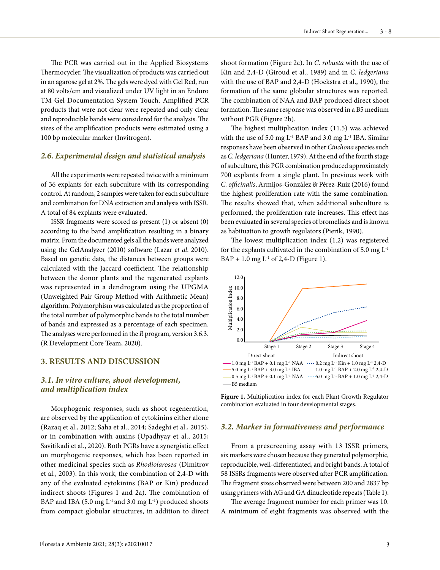The PCR was carried out in the Applied Biosystems Thermocycler. The visualization of products was carried out in an agarose gel at 2%. The gels were dyed with Gel Red, run at 80 volts/cm and visualized under UV light in an Enduro TM Gel Documentation System Touch. Amplified PCR products that were not clear were repeated and only clear and reproducible bands were considered for the analysis. The sizes of the amplification products were estimated using a 100 bp molecular marker (Invitrogen).

#### *2.6. Experimental design and statistical analysis*

All the experiments were repeated twice with a minimum of 36 explants for each subculture with its corresponding control. At random, 2 samples were taken for each subculture and combination for DNA extraction and analysis with ISSR. A total of 84 explants were evaluated.

ISSR fragments were scored as present (1) or absent (0) according to the band amplification resulting in a binary matrix. From the documented gels all the bands were analyzed using the GelAnalyzer (2010) software (Lazar *et al*. 2010). Based on genetic data, the distances between groups were calculated with the Jaccard coefficient. The relationship between the donor plants and the regenerated explants was represented in a dendrogram using the UPGMA (Unweighted Pair Group Method with Arithmetic Mean) algorithm. Polymorphism was calculated as the proportion of the total number of polymorphic bands to the total number of bands and expressed as a percentage of each specimen. The analyses were performed in the *R* program, version 3.6.3. (R Development Core Team, 2020).

#### **3. RESULTS AND DISCUSSION**

# *3.1. In vitro culture, shoot development, and multiplication index*

Morphogenic responses, such as shoot regeneration, are observed by the application of cytokinins either alone (Razaq et al., 2012; Saha et al., 2014; Sadeghi et al., 2015), or in combination with auxins (Upadhyay et al., 2015; Savitikadi et al., 2020). Both PGRs have a synergistic effect on morphogenic responses, which has been reported in other medicinal species such as *Rhodiolarosea* (Dimitrov et al., 2003). In this work, the combination of 2,4-D with any of the evaluated cytokinins (BAP or Kin) produced indirect shoots (Figures 1 and 2a). The combination of BAP and IBA (5.0 mg  $L^{-1}$  and 3.0 mg  $L^{-1}$ ) produced shoots from compact globular structures, in addition to direct

shoot formation (Figure 2c). In *C. robusta* with the use of Kin and 2,4-D (Giroud et al., 1989) and in *C. ledgeriana* with the use of BAP and 2,4-D (Hoekstra et al., 1990), the formation of the same globular structures was reported. The combination of NAA and BAP produced direct shoot formation. The same response was observed in a B5 medium without PGR (Figure 2b).

The highest multiplication index (11.5) was achieved with the use of 5.0 mg  $L^{-1}$  BAP and 3.0 mg  $L^{-1}$  IBA. Similar responses have been observed in other *Cinchona* species such as *C. ledgeriana* (Hunter, 1979). At the end of the fourth stage of subculture, this PGR combination produced approximately 700 explants from a single plant. In previous work with *C. officinalis*, Armijos-González & Pérez-Ruiz (2016) found the highest proliferation rate with the same combination. The results showed that, when additional subculture is performed, the proliferation rate increases. This effect has been evaluated in several species of bromeliads and is known as habituation to growth regulators (Pierik, 1990).

The lowest multiplication index (1.2) was registered for the explants cultivated in the combination of 5.0 mg  $L<sup>-1</sup>$  $BAP + 1.0$  mg  $L^{-1}$  of 2,4-D (Figure 1).



**Figure 1.** Multiplication index for each Plant Growth Regulator combination evaluated in four developmental stages.

#### *3.2. Marker in formativeness and performance*

From a prescreening assay with 13 ISSR primers, six markers were chosen because they generated polymorphic, reproducible, well-differentiated, and bright bands. A total of 58 ISSRs fragments were observed after PCR amplification. The fragment sizes observed were between 200 and 2837 bp using primers with AG and GA dinucleotide repeats (Table 1).

The average fragment number for each primer was 10. A minimum of eight fragments was observed with the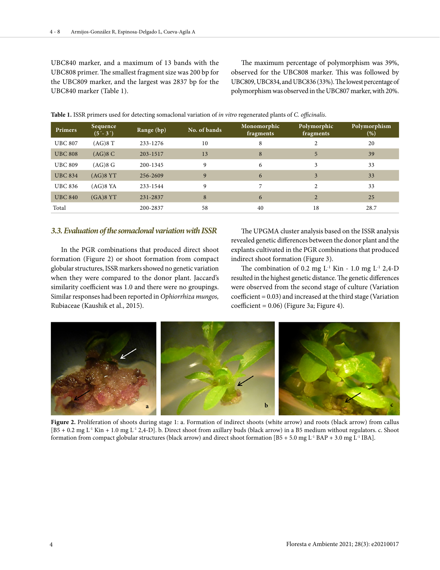UBC840 marker, and a maximum of 13 bands with the UBC808 primer. The smallest fragment size was 200 bp for the UBC809 marker, and the largest was 2837 bp for the UBC840 marker (Table 1).

The maximum percentage of polymorphism was 39%, observed for the UBC808 marker. This was followed by UBC809, UBC834, and UBC836 (33%). The lowest percentage of polymorphism was observed in the UBC807 marker, with 20%.

|  | Table 1. ISSR primers used for detecting somaclonal variation of <i>in vitro</i> regenerated plants of <i>C. officinalis</i> . |
|--|--------------------------------------------------------------------------------------------------------------------------------|
|--|--------------------------------------------------------------------------------------------------------------------------------|

| <b>Primers</b> | Sequence<br>$(5' - 3')$ | Range (bp) | No. of bands | Monomorphic<br>fragments | Polymorphic<br>fragments | Polymorphism<br>$(\% )$ |
|----------------|-------------------------|------------|--------------|--------------------------|--------------------------|-------------------------|
| <b>UBC 807</b> | (AG)8 T                 | 233-1276   | 10           | 8                        | $\mathfrak{D}$           | 20                      |
| <b>UBC 808</b> | (AG)8C                  | 203-1517   | 13           | 8                        | 5                        | 39                      |
| <b>UBC 809</b> | $(AG)8$ G               | 200-1345   | 9            | 6                        | 3                        | 33                      |
| <b>UBC 834</b> | $(AG)8$ YT              | 256-2609   | 9            | 6                        | 3                        | 33                      |
| <b>UBC 836</b> | $(AG)8$ YA              | 233-1544   | 9            | 7                        | $\mathfrak{D}$           | 33                      |
| <b>UBC 840</b> | $(GA)8$ $YT$            | 231-2837   | 8            | 6                        | 2                        | 25                      |
| Total          |                         | 200-2837   | 58           | 40                       | 18                       | 28.7                    |

# *3.3. Evaluation of the somaclonal variation with ISSR*

In the PGR combinations that produced direct shoot formation (Figure 2) or shoot formation from compact globular structures, ISSR markers showed no genetic variation when they were compared to the donor plant. Jaccard's similarity coefficient was 1.0 and there were no groupings. Similar responses had been reported in *Ophiorrhiza mungos,*  Rubiaceae (Kaushik et al., 2015).

The UPGMA cluster analysis based on the ISSR analysis revealed genetic differences between the donor plant and the explants cultivated in the PGR combinations that produced indirect shoot formation (Figure 3).

The combination of 0.2 mg  $L^{-1}$  Kin - 1.0 mg  $L^{-1}$  2,4-D resulted in the highest genetic distance. The genetic differences were observed from the second stage of culture (Variation coefficient = 0.03) and increased at the third stage (Variation  $coefficient = 0.06$ ) (Figure 3a; Figure 4).



Figure 2. Proliferation of shoots during stage 1: a. Formation of indirect shoots (white arrow) and roots (black arrow) from callus  $[B5 + 0.2 \text{ mg } L^1 \text{ Kin} + 1.0 \text{ mg } L^1 \text{ 2,4-D}].$  b. Direct shoot from axillary buds (black arrow) in a B5 medium without regulators. c. Shoot formation from compact globular structures (black arrow) and direct shoot formation  $[BS + 5.0$  mg  $L<sup>-1</sup> BAP + 3.0$  mg  $L<sup>-1</sup> IBA]$ .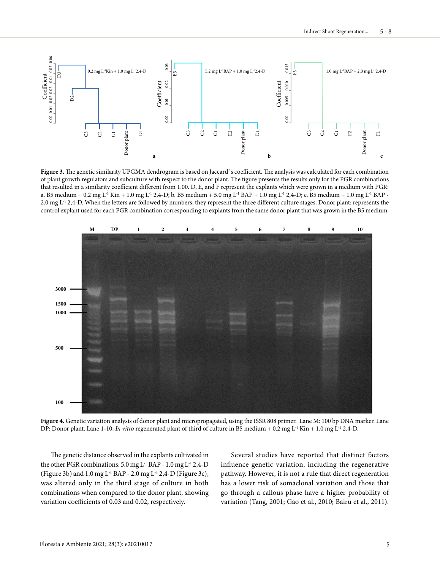

Figure 3. The genetic similarity UPGMA dendrogram is based on Jaccard's coefficient. The analysis was calculated for each combination of plant growth regulators and subculture with respect to the donor plant. The figure presents the results only for the PGR combinations that resulted in a similarity coefficient different from 1.00. D, E, and F represent the explants which were grown in a medium with PGR: a. B5 medium + 0.2 mg L<sup>-1</sup> Kin + 1.0 mg L<sup>-1</sup> 2,4-D; b. B5 medium + 5.0 mg L<sup>-1</sup> BAP + 1.0 mg L<sup>-1</sup> 2,4-D; c. B5 medium + 1.0 mg L<sup>-1</sup> BAP -2.0 mg L<sup>-1</sup> 2,4-D. When the letters are followed by numbers, they represent the three different culture stages. Donor plant: represents the control explant used for each PGR combination corresponding to explants from the same donor plant that was grown in the B5 medium.



**Figure 4.** Genetic variation analysis of donor plant and micropropagated, using the ISSR 808 primer. Lane M: 100 bp DNA marker. Lane DP: Donor plant. Lane 1-10: *In vitro* regenerated plant of third of culture in B5 medium + 0.2 mg L<sup>-1</sup> Kin + 1.0 mg L<sup>-1</sup> 2,4-D.

The genetic distance observed in the explants cultivated in the other PGR combinations: 5.0 mg L-1 BAP - 1.0 mg L-1 2,4-D (Figure 3b) and 1.0 mg L-1 BAP - 2.0 mg L-1 2,4-D (Figure 3c), was altered only in the third stage of culture in both combinations when compared to the donor plant, showing variation coefficients of 0.03 and 0.02, respectively.

Several studies have reported that distinct factors influence genetic variation, including the regenerative pathway. However, it is not a rule that direct regeneration has a lower risk of somaclonal variation and those that go through a callous phase have a higher probability of variation (Tang, 2001; Gao et al., 2010; Bairu et al., 2011).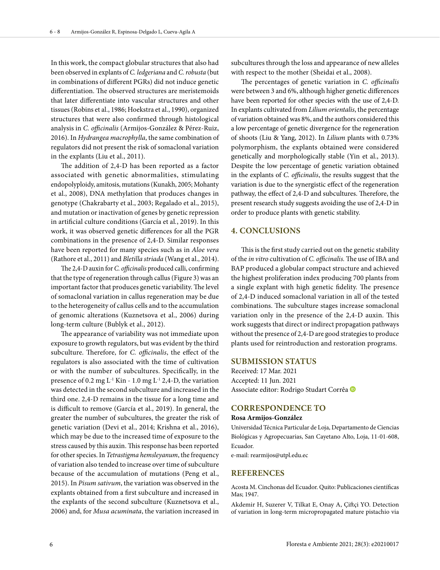In this work, the compact globular structures that also had been observed in explants of *C. ledgeriana* and *C.robusta* (but in combinations of different PGRs) did not induce genetic differentiation. The observed structures are meristemoids that later differentiate into vascular structures and other tissues (Robins et al., 1986; Hoekstra et al., 1990), organized structures that were also confirmed through histological analysis in *C. officinalis* (Armijos-González & Pérez-Ruiz, 2016). In *Hydrangea macrophylla*, the same combination of regulators did not present the risk of somaclonal variation in the explants (Liu et al., 2011).

The addition of 2,4-D has been reported as a factor associated with genetic abnormalities, stimulating endopolyploidy, amitosis, mutations (Kunakh, 2005; Mohanty et al., 2008), DNA methylation that produces changes in genotype (Chakrabarty et al., 2003; Regalado et al., 2015), and mutation or inactivation of genes by genetic repression in artificial culture conditions (García et al*.*, 2019). In this work, it was observed genetic differences for all the PGR combinations in the presence of 2,4-D. Similar responses have been reported for many species such as in *Aloe vera* (Rathore et al., 2011) and *Bletilla striada* (Wang et al., 2014).

The 2,4-D auxin for *C. officinalis* produced calli, confirming that the type of regeneration through callus (Figure 3) was an important factor that produces genetic variability. The level of somaclonal variation in callus regeneration may be due to the heterogeneity of callus cells and to the accumulation of genomic alterations (Kuznetsova et al., 2006) during long-term culture (Bublyk et al., 2012).

The appearance of variability was not immediate upon exposure to growth regulators, but was evident by the third subculture. Therefore, for *C. officinalis*, the effect of the regulators is also associated with the time of cultivation or with the number of subcultures. Specifically, in the presence of 0.2 mg  $L^{-1}$  Kin - 1.0 mg  $L^{-1}$  2,4-D, the variation was detected in the second subculture and increased in the third one. 2,4-D remains in the tissue for a long time and is difficult to remove (García et al., 2019). In general, the greater the number of subcultures, the greater the risk of genetic variation (Devi et al., 2014; Krishna et al., 2016), which may be due to the increased time of exposure to the stress caused by this auxin. This response has been reported for other species. In *Tetrastigma hemsleyanum*, the frequency of variation also tended to increase over time of subculture because of the accumulation of mutations (Peng et al., 2015). In *Pisum sativum*, the variation was observed in the explants obtained from a first subculture and increased in the explants of the second subculture (Kuznetsova et al., 2006) and, for *Musa acuminata*, the variation increased in

subcultures through the loss and appearance of new alleles with respect to the mother (Sheidai et al., 2008).

The percentages of genetic variation in *C. officinalis* were between 3 and 6%, although higher genetic differences have been reported for other species with the use of 2,4-D. In explants cultivated from *Lilium orientalis*, the percentage of variation obtained was 8%, and the authors considered this a low percentage of genetic divergence for the regeneration of shoots (Liu & Yang, 2012). In *Lilium* plants with 0.73% polymorphism, the explants obtained were considered genetically and morphologically stable (Yin et al., 2013). Despite the low percentage of genetic variation obtained in the explants of *C. officinalis*, the results suggest that the variation is due to the synergistic effect of the regeneration pathway, the effect of 2,4-D and subcultures. Therefore, the present research study suggests avoiding the use of 2,4-D in order to produce plants with genetic stability.

# **4. CONCLUSIONS**

This is the first study carried out on the genetic stability of the *in vitro* cultivation of *C. officinalis.* The use of IBA and BAP produced a globular compact structure and achieved the highest proliferation index producing 700 plants from a single explant with high genetic fidelity. The presence of 2,4-D induced somaclonal variation in all of the tested combinations. The subculture stages increase somaclonal variation only in the presence of the 2,4-D auxin. This work suggests that direct or indirect propagation pathways without the presence of 2,4-D are good strategies to produce plants used for reintroduction and restoration programs.

#### **SUBMISSION STATUS**

Received: 17 Mar. 2021 Accepted: 11 Jun. 2021 Associate editor: Rodrigo Studart Corrêa

#### **CORRESPONDENCE TO**

#### **Rosa Armijos-González**

Universidad Técnica Particular de Loja, Departamento de Ciencias Biológicas y Agropecuarias, San Cayetano Alto, Loja, 11-01-608, Ecuador.

e-mail: rearmijos@utpl.edu.ec

#### **REFERENCES**

Acosta M. Cinchonas del Ecuador. Quito: Publicaciones científicas Mas; 1947.

Akdemir H, Suzerer V, Tilkat E, Onay A, Çiftçi YO. Detection of variation in long-term micropropagated mature pistachio via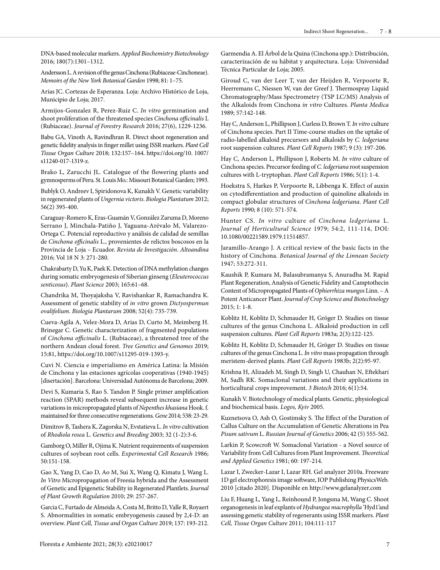DNA-based molecular markers. *Applied Biochemistry Biotechnology* 2016; 180(7):1301–1312.

Andersson L. A revision of the genus Cinchona (Rubiaceae-Cinchoneae). *Memoirs of the New York Botanical Garden* 1998; 81: 1–75.

Arias JC. Cortezas de Esperanza. Loja: Archivo Histórico de Loja, Municipio de Loja; 2017.

Armijos-Gonzalez R, Perez-Ruiz C. *In vitro* germination and shoot proliferation of the threatened species *Cinchona officinalis* L (Rubiaceae). *Journal of Forestry Research* 2016; 27(6), 1229-1236.

Babu GA, Vinoth A, Ravindhran R. Direct shoot regeneration and genetic fidelity analysis in finger millet using ISSR markers. *Plant Cell Tissue Organ Culture* 2018; 132:157–164. https://doi.org/10. 1007/ s11240-017-1319-z.

Brako L, Zarucchi JL. Catalogue of the flowering plants and gymnosperms of Peru. St. Louis Mo.: Missouri Botanical Garden; 1993.

Bublyk O, Andreev I, Spiridonova K, Kunakh V. Genetic variability in regenerated plants of *Ungernia victoris*. *Biologia Plantatum* 2012; 56(2) 395-400.

Caraguay-Romero K, Eras-Guamán V, González Zaruma D, Moreno Serrano J, Minchala-Patiño J, Yaguana-Arévalo M, Valarezo-Ortega C. Potencial reproductivo y análisis de calidad de semillas de *Cinchona officinalis* L., provenientes de relictos boscosos en la Provincia de Loja – Ecuador. *Revista de Investigación. Altoandina*  2016; Vol 18 N 3: 271-280.

Chakrabarty D, Yu K, Paek K. Detection of DNA methylation changes during somatic embryogenesis of Siberian ginseng (*Eleuterococcus senticosus*). *Plant Science* 2003; 165:61–68.

Chandrika M, Thoyajaksha V, Ravishankar R, Ramachandra K. Assessment of genetic stability of *in vitro* grown *Dictyospermun ovalifolium*. *Biologia Plantarum* 2008; 52(4): 735-739.

Cueva-Agila A, Velez-Mora D, Arias D, Curto M, Meimberg H. Brinegar C. Genetic characterization of fragmented populations of *Cinchona officinalis* L. (Rubiaceae), a threatened tree of the northern Andean cloud forest. *Tree Genetics and Genomes* 2019; 15:81, https://doi.org/10.1007/s11295-019-1393-y.

Cuvi N. Ciencia e imperialismo en América Latina: la Misión de Cinchona y las estaciones agrícolas cooperativas (1940-1945) [disertación]. Barcelona: Universidad Autónoma de Barcelona; 2009.

Devi S, Kumaria S, Rao S. Tandon P. Single primer amplification reaction (SPAR) methods reveal subsequent increase in genetic variations in micropropagated plants of *Nepenthes khasiana* Hook. f. maintained for three consecutive regenerations. *Gene* 2014; 538: 23-29.

Dimitrov B, Tashera K, Zagorska N, Evstatieva L. *In vitro* cultivation of *Rhodiola rosea* L. *Genetics and Breeding* 2003; 32 (1-2):3-6.

Gamborg O, Miller R, Ojima K. Nutrient requirements of suspension cultures of soybean root cells. *Experimental Cell Research* 1986; 50:151-158.

Gao X, Yang D, Cao D, Ao M, Sui X, Wang Q, Kimatu J, Wang L. *In Vitro* Micropropagation of Freesia hybrida and the Assessment of Genetic and Epigenetic Stability in Regenerated Plantlets. *Journal of Plant Growth Regulation* 2010; 29: 257-267.

Garcia C, Furtado de Almeida A, Costa M, Britto D, Valle R, Royaert S. Abnormalities in somatic embryogenesis caused by 2,4-D: an overview. *Plant Cell, Tissue and Organ Culture* 2019; 137: 193-212.

Garmendia A. El Árbol de la Quina (Cinchona spp.): Distribución, caracterización de su hábitat y arquitectura. Loja: Universidad Técnica Particular de Loja; 2005.

Giroud C, van der Leer T, van der Heijden R, Verpoorte R, Heerremans C, Niessen W, van der Greef J. Thermospray Liquid Chromatography/Mass Spectrometry (TSP LC/MS) Analysis of the Alkaloids from Cinchona *in vitro* Cultures. *Planta Medica* 1989; 57:142-148.

Hay C, Anderson L, Phillipson J, Curless D, Brown T. *In vitro* culture of Cinchona species. Part II Time-course studies on the uptake of radio-labelled alkaloid precursors and alkaloids by *C. ledgeriana* root suspension cultures. *Plant Cell Reports* 1987; 9 (3): 197-206.

Hay C, Anderson L, Phillipson J, Roberts M. *In vitro* culture of Cinchona species. Precursor feeding of *C. ledgeriana* root suspension cultures with L-tryptophan. *Plant Cell Reports* 1986; 5(1): 1-4.

Hoekstra S, Harkes P, Verpoorte R, Libbenga K. Effect of auxin on cytodifferentiation and production of quinoline alkaloids in compact globular structures of *Cinchona ledgeriana*. *Plant Cell Reports* 1990; 8 (10): 571-574.

Hunter CS. *In vitro* culture of *Cinchona ledgeriana* L. *Journal of Horticultural Science* 1979; 54:2, 111-114, DOI: 10.1080/00221589.1979.11514857.

Jaramillo-Arango J. A critical review of the basic facts in the history of Cinchona. *Botanical Journal of the Linnean Society*  1947; 53:272-311.

Kaushik P, Kumara M, Balasubramanya S, Anuradha M. Rapid Plant Regeneration, Analysis of Genetic Fidelity and Camptothecin Content of Micropropagated Plants of *Ophiorrhiza mungos* Linn. – A Potent Anticancer Plant. *Journal of Crop Science and Biotechnology* 2015; 1: 1-8.

Koblitz H, Koblitz D, Schmauder H, Gröger D. Studies on tissue cultures of the genus Cinchona L. Alkaloid production in cell suspension cultures. *Plant Cell Reports* 1983a; 2(3):122-125.

Koblitz H, Koblitz D, Schmauder H, Gröger D. Studies on tissue cultures of the genus Cinchona L. *In vitro* mass propagation through meristem-derived plants. *Plant Cell Reports* 1983b; 2(2):95-97.

Krishna H, Alizadeh M, Singh D, Singh U, Chauhan N, Eftekhari M, Sadh RK. Somaclonal variations and their applications in horticultural crops improvement. *3 Biotech* 2016; 6(1):54.

Kunakh V. Biotechnology of medical plants. Genetic, physiological and biochemical basis. *Logos, Kyiv* 2005.

Kuznetsova O, Ash O, Gostimsky S. The Effect of the Duration of Callus Culture on the Accumulation of Genetic Alterations in Pea *Pisum sativum* L. *Russian Journal of Genetics* 2006; 42 (5) 555-562.

Larkin P, Scowcroft W. Somaclonal Variation - a Novel source of Variability from Cell Cultures from Plant Improvement. *Theoretical and Applied Genetics* 1981; 60: 197-214.

Lazar I, Zwecker-Lazar I, Lazar RH. Gel analyzer 2010a. Freeware 1D gel electrophoresis image software, IOP Publishing PhysicsWeb. 2010 [citado 2020]. Disponible en http://www.gelanalyzer.com

Liu F, Huang L, Yang L, Reinhound P, Jongsma M, Wang C. Shoot organogenesis in leaf explants of *Hydrangea macrophylla* 'Hyd1'and assessing genetic stability of regenerants using ISSR markers*. Plant Cell, Tissue Organ Culture* 2011; 104:111-117